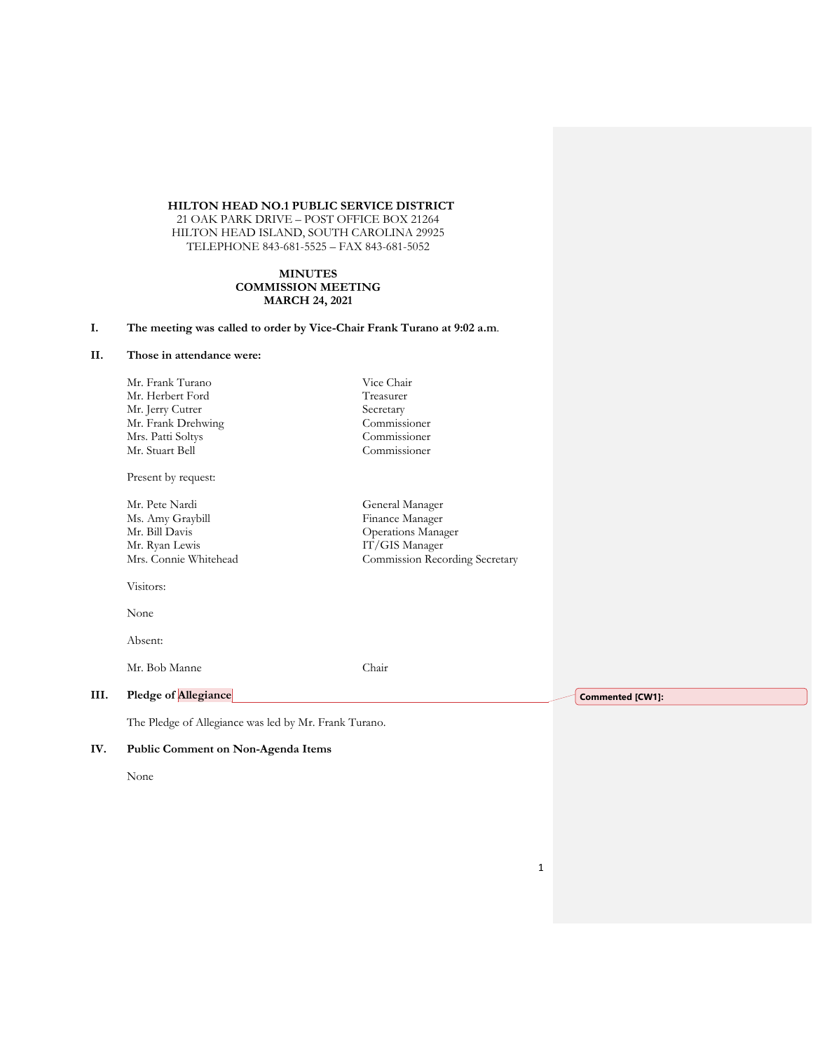# **HILTON HEAD NO.1 PUBLIC SERVICE DISTRICT**

21 OAK PARK DRIVE – POST OFFICE BOX 21264 HILTON HEAD ISLAND, SOUTH CAROLINA 29925 TELEPHONE 843-681-5525 – FAX 843-681-5052

#### **MINUTES COMMISSION MEETING MARCH 24, 2021**

# **I. The meeting was called to order by Vice-Chair Frank Turano at 9:02 a.m**.

### **II. Those in attendance were:**

Mr. Frank Turano Vice Chair Mr. Herbert Ford Treasurer Mr. Jerry Cutrer<br>
Mr. Frank Drehwing<br>
Commissioner Mr. Frank Drehwing Mrs. Patti Soltys Commissioner Mr. Stuart Bell

Present by request:

Mr. Pete Nardi General Manager Ms. Amy Graybill Finance Manager<br>Mr. Bill Davis Germany Coperations Manager Mr. Bill Davis<br>Mr. Ryan Lewis Germany States (Mr. Ryan Lewis Controller Mr. Ryan Lewis Controller Mr. Ryan Lewis Controller Mr. 1999)<br>Mr. Ryan Lewis Controller (Mr. 1999)

IT/GIS Manager Mrs. Connie Whitehead Commission Recording Secretary

Visitors:

None

Absent:

Mr. Bob Manne Chair

### **III. Pledge of Allegiance**

The Pledge of Allegiance was led by Mr. Frank Turano.

### **IV. Public Comment on Non-Agenda Items**

None

**Commented [CW1]:**